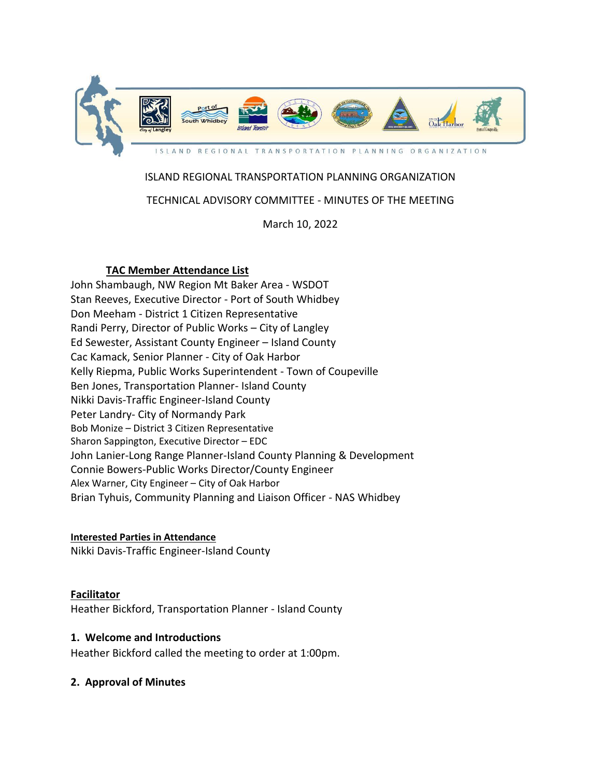

# ISLAND REGIONAL TRANSPORTATION PLANNING ORGANIZATION

## TECHNICAL ADVISORY COMMITTEE - MINUTES OF THE MEETING

March 10, 2022

## **TAC Member Attendance List**

John Shambaugh, NW Region Mt Baker Area - WSDOT Stan Reeves, Executive Director - Port of South Whidbey Don Meeham - District 1 Citizen Representative Randi Perry, Director of Public Works – City of Langley Ed Sewester, Assistant County Engineer – Island County Cac Kamack, Senior Planner - City of Oak Harbor Kelly Riepma, Public Works Superintendent - Town of Coupeville Ben Jones, Transportation Planner- Island County Nikki Davis-Traffic Engineer-Island County Peter Landry- City of Normandy Park Bob Monize – District 3 Citizen Representative Sharon Sappington, Executive Director – EDC John Lanier-Long Range Planner-Island County Planning & Development Connie Bowers-Public Works Director/County Engineer Alex Warner, City Engineer – City of Oak Harbor Brian Tyhuis, Community Planning and Liaison Officer - NAS Whidbey

### **Interested Parties in Attendance**

Nikki Davis-Traffic Engineer-Island County

## **Facilitator**

Heather Bickford, Transportation Planner - Island County

### **1. Welcome and Introductions**

Heather Bickford called the meeting to order at 1:00pm.

### **2. Approval of Minutes**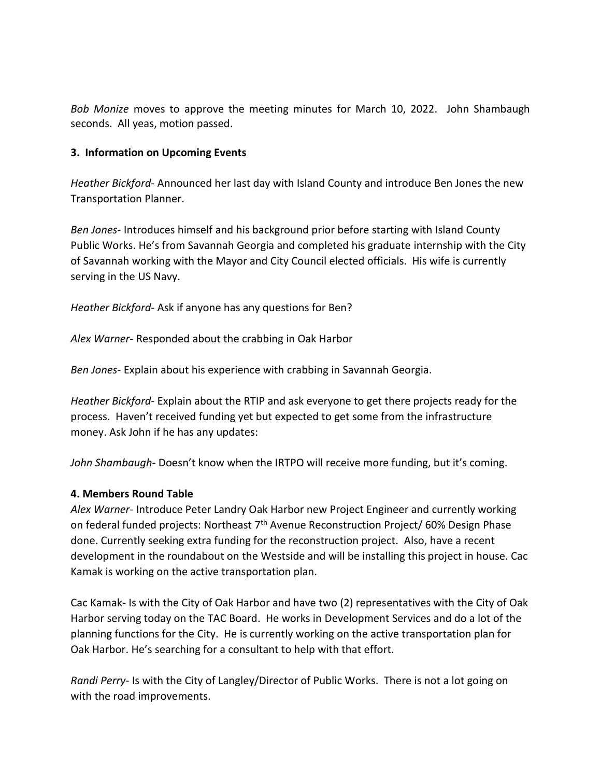*Bob Monize* moves to approve the meeting minutes for March 10, 2022. John Shambaugh seconds. All yeas, motion passed.

### **3. Information on Upcoming Events**

*Heather Bickford-* Announced her last day with Island County and introduce Ben Jones the new Transportation Planner.

*Ben Jones*- Introduces himself and his background prior before starting with Island County Public Works. He's from Savannah Georgia and completed his graduate internship with the City of Savannah working with the Mayor and City Council elected officials. His wife is currently serving in the US Navy.

*Heather Bickford*- Ask if anyone has any questions for Ben?

*Alex Warner*- Responded about the crabbing in Oak Harbor

*Ben Jones-* Explain about his experience with crabbing in Savannah Georgia.

*Heather Bickford*- Explain about the RTIP and ask everyone to get there projects ready for the process. Haven't received funding yet but expected to get some from the infrastructure money. Ask John if he has any updates:

*John Shambaugh*- Doesn't know when the IRTPO will receive more funding, but it's coming.

### **4. Members Round Table**

*Alex Warner*- Introduce Peter Landry Oak Harbor new Project Engineer and currently working on federal funded projects: Northeast 7<sup>th</sup> Avenue Reconstruction Project/ 60% Design Phase done. Currently seeking extra funding for the reconstruction project. Also, have a recent development in the roundabout on the Westside and will be installing this project in house. Cac Kamak is working on the active transportation plan.

Cac Kamak*-* Is with the City of Oak Harbor and have two (2) representatives with the City of Oak Harbor serving today on the TAC Board. He works in Development Services and do a lot of the planning functions for the City. He is currently working on the active transportation plan for Oak Harbor. He's searching for a consultant to help with that effort.

*Randi Perry*- Is with the City of Langley/Director of Public Works. There is not a lot going on with the road improvements.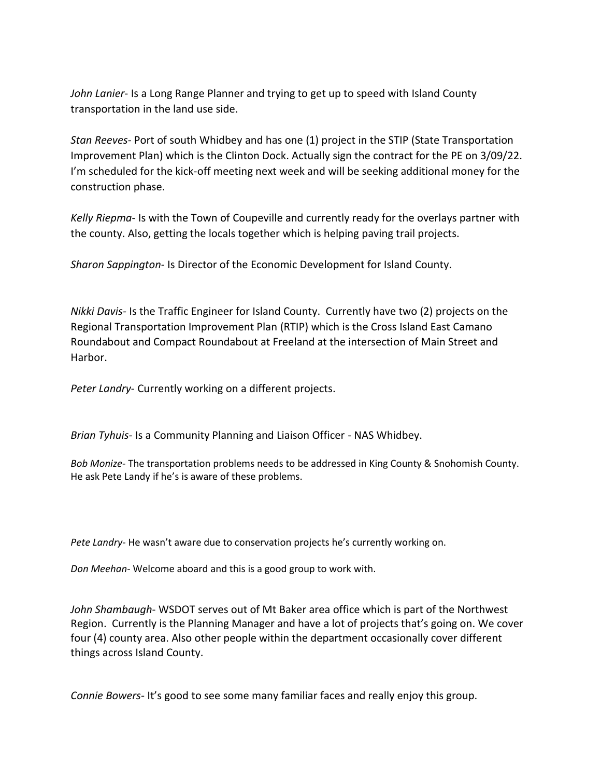*John Lanier*- Is a Long Range Planner and trying to get up to speed with Island County transportation in the land use side.

*Stan Reeves*- Port of south Whidbey and has one (1) project in the STIP (State Transportation Improvement Plan) which is the Clinton Dock. Actually sign the contract for the PE on 3/09/22. I'm scheduled for the kick-off meeting next week and will be seeking additional money for the construction phase.

*Kelly Riepma*- Is with the Town of Coupeville and currently ready for the overlays partner with the county. Also, getting the locals together which is helping paving trail projects.

*Sharon Sappington-* Is Director of the Economic Development for Island County.

*Nikki Davis-* Is the Traffic Engineer for Island County. Currently have two (2) projects on the Regional Transportation Improvement Plan (RTIP) which is the Cross Island East Camano Roundabout and Compact Roundabout at Freeland at the intersection of Main Street and Harbor.

*Peter Landry*- Currently working on a different projects.

*Brian Tyhuis-* Is a Community Planning and Liaison Officer - NAS Whidbey.

*Bob Monize-* The transportation problems needs to be addressed in King County & Snohomish County. He ask Pete Landy if he's is aware of these problems.

*Pete Landry-* He wasn't aware due to conservation projects he's currently working on.

*Don Meehan*- Welcome aboard and this is a good group to work with.

*John Shambaugh*- WSDOT serves out of Mt Baker area office which is part of the Northwest Region. Currently is the Planning Manager and have a lot of projects that's going on. We cover four (4) county area. Also other people within the department occasionally cover different things across Island County.

*Connie Bowers-* It's good to see some many familiar faces and really enjoy this group.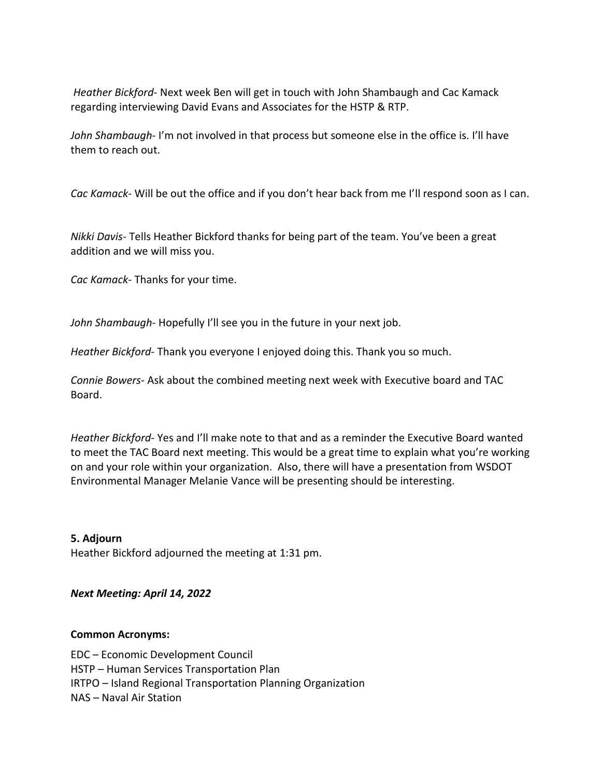*Heather Bickford*- Next week Ben will get in touch with John Shambaugh and Cac Kamack regarding interviewing David Evans and Associates for the HSTP & RTP.

*John Shambaugh*- I'm not involved in that process but someone else in the office is. I'll have them to reach out.

*Cac Kamack*- Will be out the office and if you don't hear back from me I'll respond soon as I can.

*Nikki Davis*- Tells Heather Bickford thanks for being part of the team. You've been a great addition and we will miss you.

*Cac Kamack*- Thanks for your time.

*John Shambaugh*- Hopefully I'll see you in the future in your next job.

*Heather Bickford*- Thank you everyone I enjoyed doing this. Thank you so much.

*Connie Bowers*- Ask about the combined meeting next week with Executive board and TAC Board.

*Heather Bickford*- Yes and I'll make note to that and as a reminder the Executive Board wanted to meet the TAC Board next meeting. This would be a great time to explain what you're working on and your role within your organization. Also, there will have a presentation from WSDOT Environmental Manager Melanie Vance will be presenting should be interesting.

**5. Adjourn**

Heather Bickford adjourned the meeting at 1:31 pm.

*Next Meeting: April 14, 2022*

#### **Common Acronyms:**

EDC – Economic Development Council HSTP – Human Services Transportation Plan IRTPO – Island Regional Transportation Planning Organization NAS – Naval Air Station